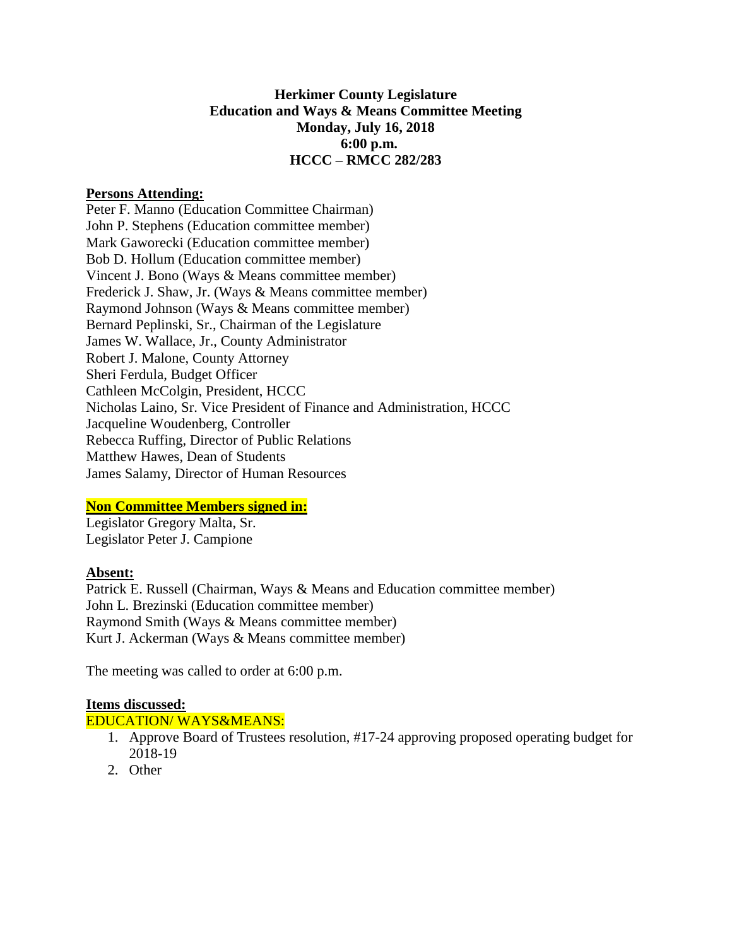## **Herkimer County Legislature Education and Ways & Means Committee Meeting Monday, July 16, 2018 6:00 p.m. HCCC – RMCC 282/283**

### **Persons Attending:**

Peter F. Manno (Education Committee Chairman) John P. Stephens (Education committee member) Mark Gaworecki (Education committee member) Bob D. Hollum (Education committee member) Vincent J. Bono (Ways & Means committee member) Frederick J. Shaw, Jr. (Ways & Means committee member) Raymond Johnson (Ways & Means committee member) Bernard Peplinski, Sr., Chairman of the Legislature James W. Wallace, Jr., County Administrator Robert J. Malone, County Attorney Sheri Ferdula, Budget Officer Cathleen McColgin, President, HCCC Nicholas Laino, Sr. Vice President of Finance and Administration, HCCC Jacqueline Woudenberg, Controller Rebecca Ruffing, Director of Public Relations Matthew Hawes, Dean of Students James Salamy, Director of Human Resources

### **Non Committee Members signed in:**

Legislator Gregory Malta, Sr. Legislator Peter J. Campione

## **Absent:**

Patrick E. Russell (Chairman, Ways & Means and Education committee member) John L. Brezinski (Education committee member) Raymond Smith (Ways & Means committee member) Kurt J. Ackerman (Ways & Means committee member)

The meeting was called to order at 6:00 p.m.

#### **Items discussed:**

#### EDUCATION/ WAYS&MEANS:

- 1. Approve Board of Trustees resolution, #17-24 approving proposed operating budget for 2018-19
- 2. Other